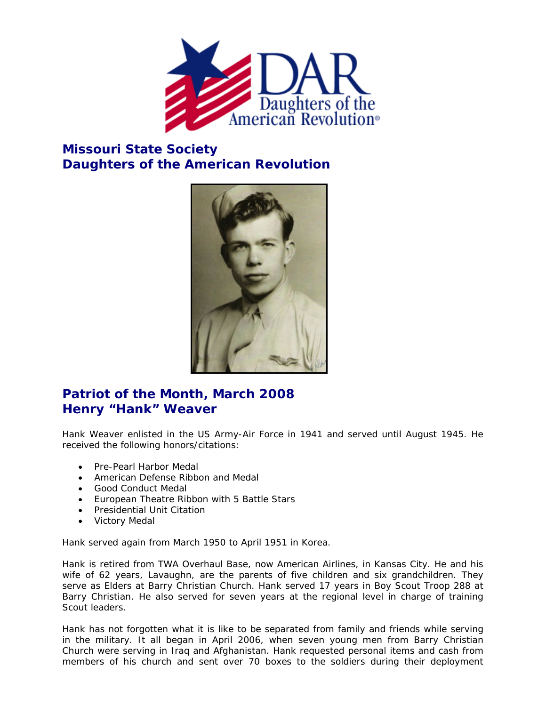

## **Missouri State Society Daughters of the American Revolution**



## **Patriot of the Month, March 2008 Henry "Hank" Weaver**

Hank Weaver enlisted in the US Army-Air Force in 1941 and served until August 1945. He received the following honors/citations:

- Pre-Pearl Harbor Medal
- American Defense Ribbon and Medal
- Good Conduct Medal
- European Theatre Ribbon with 5 Battle Stars
- Presidential Unit Citation
- Victory Medal

Hank served again from March 1950 to April 1951 in Korea.

Hank is retired from TWA Overhaul Base, now American Airlines, in Kansas City. He and his wife of 62 years, Lavaughn, are the parents of five children and six grandchildren. They serve as Elders at Barry Christian Church. Hank served 17 years in Boy Scout Troop 288 at Barry Christian. He also served for seven years at the regional level in charge of training Scout leaders.

Hank has not forgotten what it is like to be separated from family and friends while serving in the military. It all began in April 2006, when seven young men from Barry Christian Church were serving in Iraq and Afghanistan. Hank requested personal items and cash from members of his church and sent over 70 boxes to the soldiers during their deployment